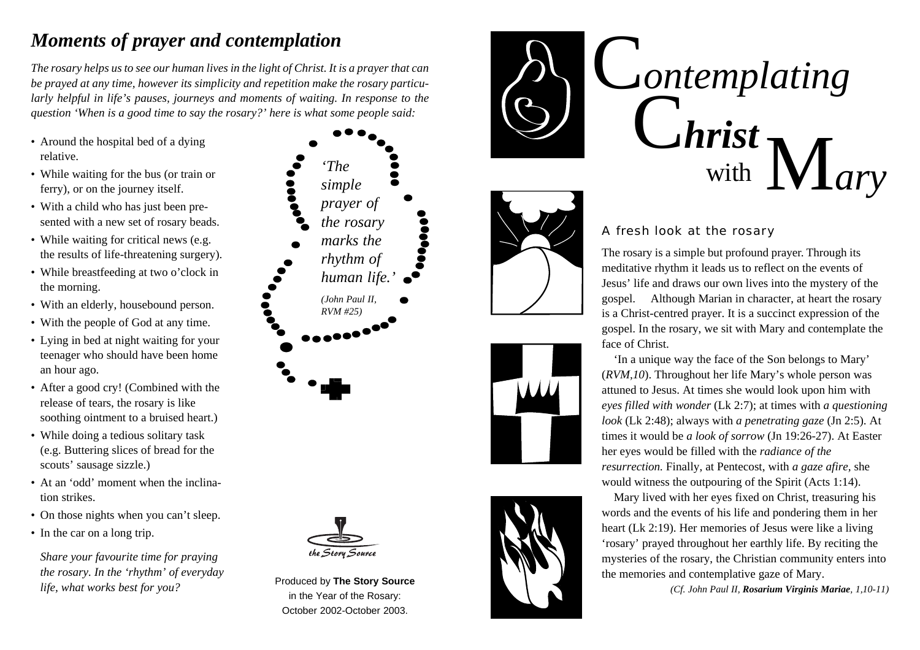#### *Moments of prayer and contemplation*

*The rosary helps us to see our human lives in the light of Christ. It is a prayer that can be prayed at any time, however its simplicity and repetition make the rosary particularly helpful in life's pauses, journeys and moments of waiting. In response to the question 'When is a good time to say the rosary?' here is what some people said:*

- Around the hospital bed of a dying relative.
- While waiting for the bus (or train or ferry), or on the journey itself.
- With a child who has just been presented with a new set of rosary beads.
- While waiting for critical news (e.g. the results of life-threatening surgery).
- While breastfeeding at two o'clock in the morning.
- With an elderly, housebound person.
- With the people of God at any time.
- Lying in bed at night waiting for your teenager who should have been home an hour ago.
- After a good cry! (Combined with the release of tears, the rosary is like soothing ointment to a bruised heart.)
- While doing a tedious solitary task (e.g. Buttering slices of bread for the scouts' sausage sizzle.)
- At an 'odd' moment when the inclination strikes.
- On those nights when you can't sleep.
- In the car on a long trip.

*Share your favourite time for praying the rosary. In the 'rhythm' of everyday life, what works best for you?*





Produced by **The Story Source** in the Year of the Rosary: October 2002-October 2003.









#### A fresh look at the rosary

The rosary is a simple but profound prayer. Through its meditative rhythm it leads us to reflect on the events of Jesus' life and draws our own lives into the mystery of the gospel. Although Marian in character, at heart the rosary is a Christ-centred prayer. It is a succinct expression of the gospel. In the rosary, we sit with Mary and contemplate the face of Christ.

 'In a unique way the face of the Son belongs to Mary' (*RVM,10*). Throughout her life Mary's whole person was attuned to Jesus. At times she would look upon him with *eyes filled with wonder* (Lk 2:7); at times with *a questioning look* (Lk 2:48); always with *a penetrating gaze* (Jn 2:5). At times it would be *a look of sorrow* (Jn 19:26-27). At Easter her eyes would be filled with the *radiance of the resurrection.* Finally, at Pentecost, with *a gaze afire,* she would witness the outpouring of the Spirit (Acts 1:14).

 Mary lived with her eyes fixed on Christ, treasuring his words and the events of his life and pondering them in her heart (Lk 2:19). Her memories of Jesus were like a living 'rosary' prayed throughout her earthly life. By reciting the mysteries of the rosary, the Christian community enters into the memories and contemplative gaze of Mary.

*(Cf. John Paul II, Rosarium Virginis Mariae, 1,10-11)*